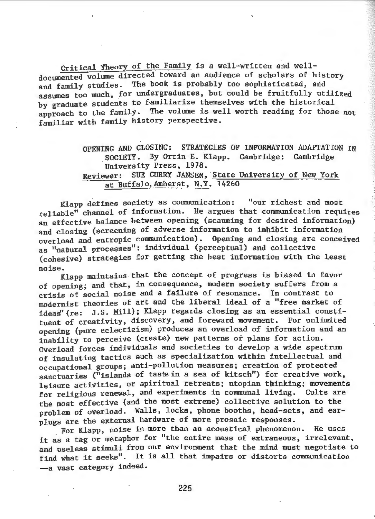Critical Theory of the Family is a well-written and welldocumented volume directed toward an audience of scholars of history<br>and family studies. The book is probably too sophisticated, and The book is probably too sophisticated, and assumes too much, for undergraduates, but could be fruitfully utilized by graduate students to familiarize themselves with the historical approach to the family. The volume is well worth reading for those not familiar with family history perspective.

## OPENING AND CLOSING: STRATEGIES OF INFORMATION ADAPTATION IN \_SOCIETY. By Orrin E. Klapp. Cambridge: Cambridge University Press, 1978. Reviewer: SUE CURRY JANSEN, State University of New York at Buffalo, Amherst, N.Y. 14260

Klapp defines society as communication: "our richest and most reliable" channel of information. He argues that communication requires an effective balance between opening (scanning for desired information) and closing (screening of adverse information to inhibit information overload and entropic communication). Opening and closing are conceived as "natural processes": individual (perceptual) and collective (cohesive) strategies for getting the best information with the least noise.

Klapp maintains that the concept of progress is biased in favor of opening; and that, in consequence, modern society suffers from a crisis of social noise and a failure of resonance. In contrast to modernist theories of art and the liberal ideal of a "free market of ideas'(re: J.S. Mill); Klapp regards closing as an essential constituent of creativity, discovery, and foreward movement. For unlimited opening (pure eclecticism) produces an overload of information and an inability to perceive (create) new patterns or plans for action. Overload forces individuals and societies to develop a wide spectrum of insulating tactics such as specialization within intellectual and occupational groups; anti-pollution measures; creation of protected sanctuaries ("islands of taste in a sea of kitsch") for creative work, leisure activities, or spiritual retreats; utopian thinking; movements for religious renewal, and experiments in communal living. Cults are the most effective (and the most extreme) collective solution to the problem of overload. Walls, locks, phone booths, head-sets, and earplugs are the external hardware of more prosaic responses.

For Klapp, noise in more than an acoustical phenomenon. He uses it as a tag or metaphor for "the entire mass of extraneous, irrelevant, and useless stimuli from our environment that the mind must negotiate to find what it seeks". It is all that impairs or distorts communication --a vast category indeed.